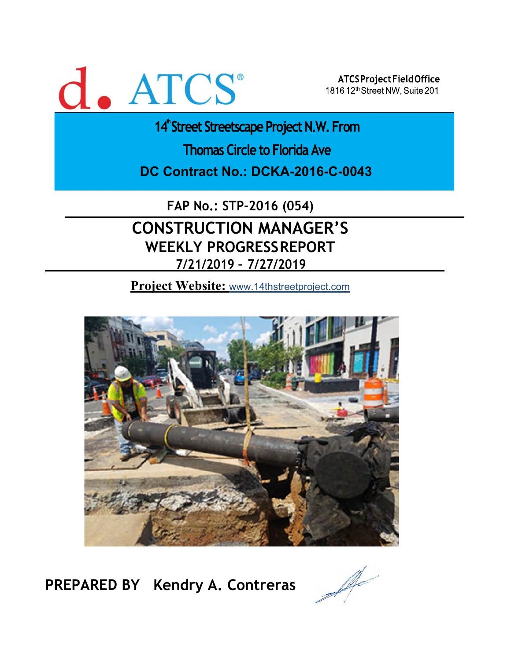# d. ATCS

ATCS Project Field Office 1816 12th Street NW, Suite 201

14<sup>th</sup> Street Streetscape Project N.W. From

**Thomas Circle to Florida Ave** 

**DC Contract No.: DCKA-2016-C-0043** 

**FAP No.: STP-2016 (054)**

## **CONSTRUCTION MANAGER'S WEEKLY PROGRESS REPORT 7/21/2019 – 7/27/2019**

**Project Website:** www.14thstreetproject.com



**PREPARED BY Kendry A. Contreras**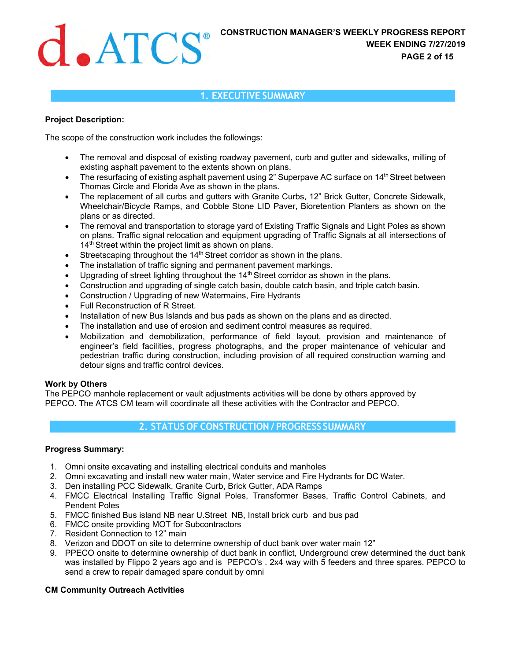## **1. EXECUTIVE SUMMARY**

#### **Project Description:**

The scope of the construction work includes the followings:

- The removal and disposal of existing roadway pavement, curb and gutter and sidewalks, milling of existing asphalt pavement to the extents shown on plans.
- $\bullet$  The resurfacing of existing asphalt pavement using 2" Superpave AC surface on 14<sup>th</sup> Street between Thomas Circle and Florida Ave as shown in the plans.
- The replacement of all curbs and gutters with Granite Curbs, 12" Brick Gutter, Concrete Sidewalk, Wheelchair/Bicycle Ramps, and Cobble Stone LID Paver, Bioretention Planters as shown on the plans or as directed.
- The removal and transportation to storage yard of Existing Traffic Signals and Light Poles as shown on plans. Traffic signal relocation and equipment upgrading of Traffic Signals at all intersections of 14<sup>th</sup> Street within the project limit as shown on plans.
- Streetscaping throughout the 14<sup>th</sup> Street corridor as shown in the plans.
- The installation of traffic signing and permanent pavement markings.
- Upgrading of street lighting throughout the 14<sup>th</sup> Street corridor as shown in the plans.
- Construction and upgrading of single catch basin, double catch basin, and triple catch basin.
- Construction / Upgrading of new Watermains, Fire Hydrants
- Full Reconstruction of R Street.
- Installation of new Bus Islands and bus pads as shown on the plans and as directed.
- The installation and use of erosion and sediment control measures as required.
- Mobilization and demobilization, performance of field layout, provision and maintenance of engineer's field facilities, progress photographs, and the proper maintenance of vehicular and pedestrian traffic during construction, including provision of all required construction warning and detour signs and traffic control devices.

#### **Work by Others**

The PEPCO manhole replacement or vault adjustments activities will be done by others approved by PEPCO. The ATCS CM team will coordinate all these activities with the Contractor and PEPCO.

## **2. STATUS OF CONSTRUCTION / PROGRESS SUMMARY**

#### **Progress Summary:**

- 1. Omni onsite excavating and installing electrical conduits and manholes
- 2. Omni excavating and install new water main, Water service and Fire Hydrants for DC Water.
- 3. Den installing PCC Sidewalk, Granite Curb, Brick Gutter, ADA Ramps
- 4. FMCC Electrical Installing Traffic Signal Poles, Transformer Bases, Traffic Control Cabinets, and Pendent Poles
- 5. FMCC finished Bus island NB near U.Street NB, Install brick curb and bus pad
- 6. FMCC onsite providing MOT for Subcontractors
- 7. Resident Connection to 12" main
- 8. Verizon and DDOT on site to determine ownership of duct bank over water main 12"
- 9. PPECO onsite to determine ownership of duct bank in conflict, Underground crew determined the duct bank was installed by Flippo 2 years ago and is PEPCO's . 2x4 way with 5 feeders and three spares. PEPCO to send a crew to repair damaged spare conduit by omni

#### **CM Community Outreach Activities**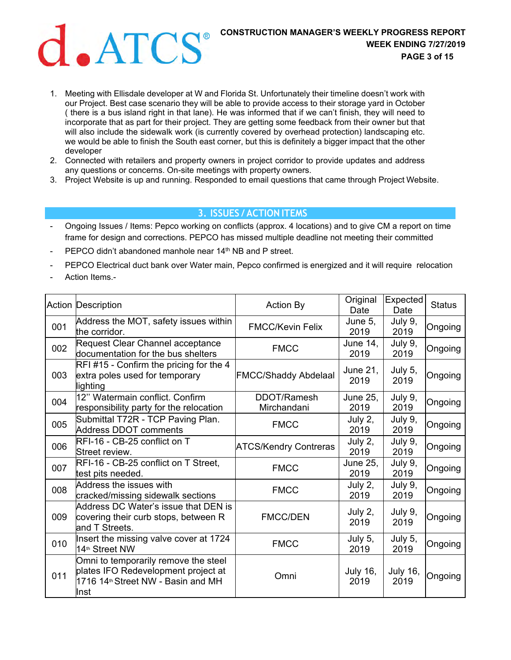

- 1. Meeting with Ellisdale developer at W and Florida St. Unfortunately their timeline doesn't work with our Project. Best case scenario they will be able to provide access to their storage yard in October ( there is a bus island right in that lane). He was informed that if we can't finish, they will need to incorporate that as part for their project. They are getting some feedback from their owner but that will also include the sidewalk work (is currently covered by overhead protection) landscaping etc. we would be able to finish the South east corner, but this is definitely a bigger impact that the other developer
- 2. Connected with retailers and property owners in project corridor to provide updates and address any questions or concerns. On-site meetings with property owners.
- 3. Project Website is up and running. Responded to email questions that came through Project Website.

#### **3. ISSUES / ACTION ITEMS**

- Ongoing Issues / Items: Pepco working on conflicts (approx. 4 locations) and to give CM a report on time frame for design and corrections. PEPCO has missed multiple deadline not meeting their committed
- PEPCO didn't abandoned manhole near 14<sup>th</sup> NB and P street.
- PEPCO Electrical duct bank over Water main, Pepco confirmed is energized and it will require relocation
- Action Items.-

|     | <b>Action Description</b>                                                                                                             | <b>Action By</b>             | Original<br>Date        | Expected<br>Date        | <b>Status</b> |
|-----|---------------------------------------------------------------------------------------------------------------------------------------|------------------------------|-------------------------|-------------------------|---------------|
| 001 | Address the MOT, safety issues within<br>the corridor.                                                                                | <b>FMCC/Kevin Felix</b>      | June 5,<br>2019         | July 9,<br>2019         | Ongoing       |
| 002 | Request Clear Channel acceptance<br>documentation for the bus shelters                                                                | <b>FMCC</b>                  | <b>June 14.</b><br>2019 | July 9,<br>2019         | Ongoing       |
| 003 | RFI#15 - Confirm the pricing for the 4<br>extra poles used for temporary<br>lighting                                                  | <b>FMCC/Shaddy Abdelaal</b>  | June 21,<br>2019        | July 5,<br>2019         | Ongoing       |
| 004 | 12" Watermain conflict. Confirm<br>responsibility party for the relocation                                                            | DDOT/Ramesh<br>Mirchandani   | June 25,<br>2019        | July 9,<br>2019         | Ongoing       |
| 005 | Submittal T72R - TCP Paving Plan.<br><b>Address DDOT comments</b>                                                                     | <b>FMCC</b>                  | July 2,<br>2019         | July 9,<br>2019         | Ongoing       |
| 006 | RFI-16 - CB-25 conflict on T<br>Street review.                                                                                        | <b>ATCS/Kendry Contreras</b> | July 2,<br>2019         | July 9,<br>2019         | Ongoing       |
| 007 | RFI-16 - CB-25 conflict on T Street,<br>test pits needed.                                                                             | <b>FMCC</b>                  | <b>June 25.</b><br>2019 | July 9,<br>2019         | Ongoing       |
| 008 | Address the issues with<br>cracked/missing sidewalk sections                                                                          | <b>FMCC</b>                  | July 2,<br>2019         | July 9,<br>2019         | Ongoing       |
| 009 | Address DC Water's issue that DEN is<br>covering their curb stops, between R<br>and T Streets.                                        | <b>FMCC/DEN</b>              | July 2,<br>2019         | July 9,<br>2019         | Ongoing       |
| 010 | Insert the missing valve cover at 1724<br>14 <sup>th</sup> Street NW                                                                  | <b>FMCC</b>                  | July 5,<br>2019         | July 5,<br>2019         | Ongoing       |
| 011 | Omni to temporarily remove the steel<br>plates IFO Redevelopment project at<br>1716 14 <sup>th</sup> Street NW - Basin and MH<br>Inst | Omni                         | <b>July 16,</b><br>2019 | <b>July 16,</b><br>2019 | Ongoing       |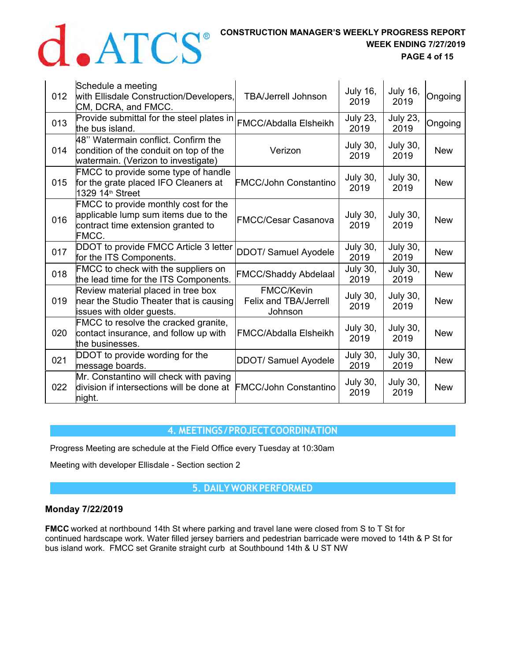# **CONSTRUCTION MANAGER'S WEEKLY PROGRESS REPORT WEEK ENDING 7/27/2019**

**WEEK ENDING 7/27/2019 PAGE 4 of 15** 

| 012 | Schedule a meeting<br>with Ellisdale Construction/Developers,<br>CM, DCRA, and FMCC.                                        | <b>TBA/Jerrell Johnson</b>                                   | <b>July 16,</b><br>2019 | <b>July 16,</b><br>2019 | Ongoing    |
|-----|-----------------------------------------------------------------------------------------------------------------------------|--------------------------------------------------------------|-------------------------|-------------------------|------------|
| 013 | Provide submittal for the steel plates in<br>the bus island.                                                                | FMCC/Abdalla Elsheikh                                        | <b>July 23,</b><br>2019 | <b>July 23,</b><br>2019 | Ongoing    |
| 014 | 48" Watermain conflict. Confirm the<br>condition of the conduit on top of the<br>watermain. (Verizon to investigate)        | Verizon                                                      | <b>July 30,</b><br>2019 | <b>July 30,</b><br>2019 | <b>New</b> |
| 015 | FMCC to provide some type of handle<br>for the grate placed IFO Cleaners at<br>1329 14 <sup>th</sup> Street                 | <b>FMCC/John Constantino</b>                                 | <b>July 30,</b><br>2019 | <b>July 30,</b><br>2019 | <b>New</b> |
| 016 | FMCC to provide monthly cost for the<br>applicable lump sum items due to the<br>contract time extension granted to<br>FMCC. | <b>FMCC/Cesar Casanova</b>                                   | <b>July 30,</b><br>2019 | <b>July 30,</b><br>2019 | <b>New</b> |
| 017 | DDOT to provide FMCC Article 3 letter<br>for the ITS Components.                                                            | DDOT/ Samuel Ayodele                                         | <b>July 30,</b><br>2019 | <b>July 30,</b><br>2019 | <b>New</b> |
| 018 | <b>FMCC</b> to check with the suppliers on<br>the lead time for the ITS Components.                                         | <b>FMCC/Shaddy Abdelaal</b>                                  | <b>July 30,</b><br>2019 | <b>July 30,</b><br>2019 | <b>New</b> |
| 019 | Review material placed in tree box<br>near the Studio Theater that is causing<br>issues with older guests.                  | <b>FMCC/Kevin</b><br><b>Felix and TBA/Jerrell</b><br>Johnson | <b>July 30,</b><br>2019 | <b>July 30,</b><br>2019 | <b>New</b> |
| 020 | FMCC to resolve the cracked granite,<br>contact insurance, and follow up with<br>the businesses.                            | <b>FMCC/Abdalla Elsheikh</b>                                 | <b>July 30,</b><br>2019 | <b>July 30,</b><br>2019 | <b>New</b> |
| 021 | DDOT to provide wording for the<br>message boards.                                                                          | <b>DDOT/ Samuel Ayodele</b>                                  | <b>July 30,</b><br>2019 | <b>July 30,</b><br>2019 | <b>New</b> |
| 022 | Mr. Constantino will check with paving<br>division if intersections will be done at<br>night.                               | <b>FMCC/John Constantino</b>                                 | <b>July 30,</b><br>2019 | <b>July 30,</b><br>2019 | <b>New</b> |

### **4. MEETINGS / PROJECT COORDINATION**

Progress Meeting are schedule at the Field Office every Tuesday at 10:30am

Meeting with developer Ellisdale - Section section 2

### **5. DAILY WORK PERFORMED**

#### **Monday 7/22/2019**

**FMCC** worked at northbound 14th St where parking and travel lane were closed from S to T St for continued hardscape work. Water filled jersey barriers and pedestrian barricade were moved to 14th & P St for bus island work. FMCC set Granite straight curb at Southbound 14th & U ST NW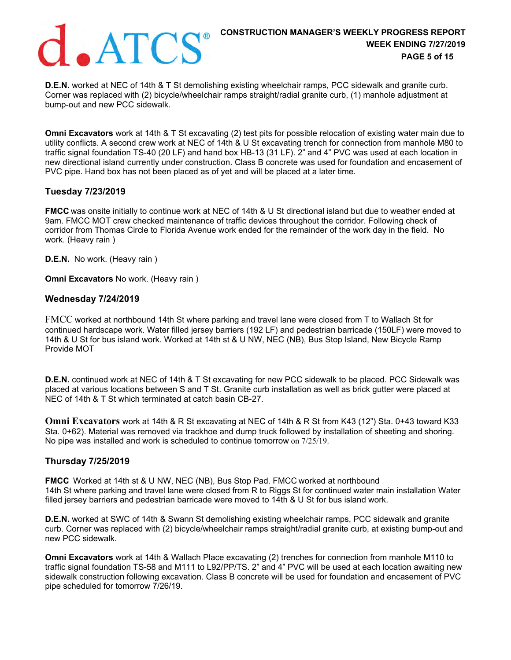

**D.E.N.** worked at NEC of 14th & T St demolishing existing wheelchair ramps, PCC sidewalk and granite curb. Corner was replaced with (2) bicycle/wheelchair ramps straight/radial granite curb, (1) manhole adjustment at bump-out and new PCC sidewalk.

**Omni Excavators** work at 14th & T St excavating (2) test pits for possible relocation of existing water main due to utility conflicts. A second crew work at NEC of 14th & U St excavating trench for connection from manhole M80 to traffic signal foundation TS-40 (20 LF) and hand box HB-13 (31 LF). 2" and 4" PVC was used at each location in new directional island currently under construction. Class B concrete was used for foundation and encasement of PVC pipe. Hand box has not been placed as of yet and will be placed at a later time.

#### **Tuesday 7/23/2019**

**FMCC** was onsite initially to continue work at NEC of 14th & U St directional island but due to weather ended at 9am. FMCC MOT crew checked maintenance of traffic devices throughout the corridor. Following check of corridor from Thomas Circle to Florida Avenue work ended for the remainder of the work day in the field. No work. (Heavy rain )

**D.E.N.** No work. (Heavy rain )

**Omni Excavators** No work. (Heavy rain )

#### **Wednesday 7/24/2019**

FMCC worked at northbound 14th St where parking and travel lane were closed from T to Wallach St for continued hardscape work. Water filled jersey barriers (192 LF) and pedestrian barricade (150LF) were moved to 14th & U St for bus island work. Worked at 14th st & U NW, NEC (NB), Bus Stop Island, New Bicycle Ramp Provide MOT

**D.E.N.** continued work at NEC of 14th & T St excavating for new PCC sidewalk to be placed. PCC Sidewalk was placed at various locations between S and T St. Granite curb installation as well as brick gutter were placed at NEC of 14th & T St which terminated at catch basin CB-27.

**Omni Excavators** work at 14th & R St excavating at NEC of 14th & R St from K43 (12") Sta. 0+43 toward K33 Sta. 0+62). Material was removed via trackhoe and dump truck followed by installation of sheeting and shoring. No pipe was installed and work is scheduled to continue tomorrow on 7/25/19.

#### **Thursday 7/25/2019**

**FMCC**  Worked at 14th st & U NW, NEC (NB), Bus Stop Pad. FMCC worked at northbound 14th St where parking and travel lane were closed from R to Riggs St for continued water main installation Water filled jersey barriers and pedestrian barricade were moved to 14th & U St for bus island work.

**D.E.N.** worked at SWC of 14th & Swann St demolishing existing wheelchair ramps, PCC sidewalk and granite curb. Corner was replaced with (2) bicycle/wheelchair ramps straight/radial granite curb, at existing bump-out and new PCC sidewalk.

**Omni Excavators** work at 14th & Wallach Place excavating (2) trenches for connection from manhole M110 to traffic signal foundation TS-58 and M111 to L92/PP/TS. 2" and 4" PVC will be used at each location awaiting new sidewalk construction following excavation. Class B concrete will be used for foundation and encasement of PVC pipe scheduled for tomorrow 7/26/19.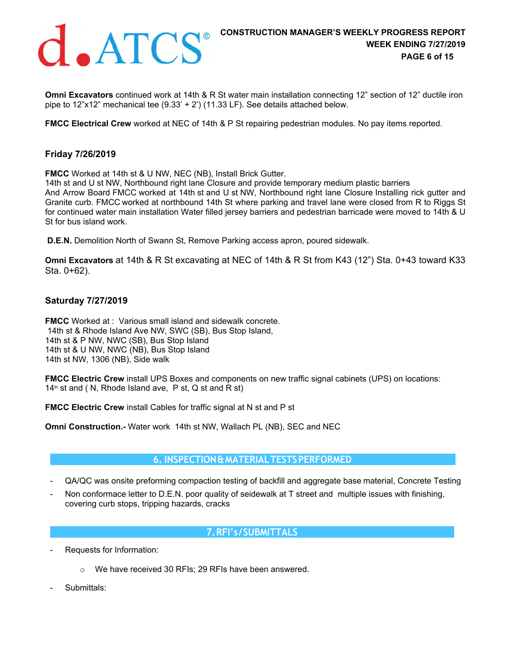

**Omni Excavators** continued work at 14th & R St water main installation connecting 12" section of 12" ductile iron pipe to 12"x12" mechanical tee  $(9.33' + 2')$  (11.33 LF). See details attached below.

**FMCC Electrical Crew** worked at NEC of 14th & P St repairing pedestrian modules. No pay items reported.

#### **Friday 7/26/2019**

**FMCC** Worked at 14th st & U NW, NEC (NB), Install Brick Gutter.

14th st and U st NW, Northbound right lane Closure and provide temporary medium plastic barriers And Arrow Board FMCC worked at 14th st and U st NW, Northbound right lane Closure Installing rick gutter and Granite curb. FMCC worked at northbound 14th St where parking and travel lane were closed from R to Riggs St for continued water main installation Water filled jersey barriers and pedestrian barricade were moved to 14th & U St for bus island work.

**D.E.N.** Demolition North of Swann St, Remove Parking access apron, poured sidewalk.

**Omni Excavators** at 14th & R St excavating at NEC of 14th & R St from K43 (12") Sta. 0+43 toward K33 Sta. 0+62).

#### **Saturday 7/27/2019**

**FMCC** Worked at : Various small island and sidewalk concrete. 14th st & Rhode Island Ave NW, SWC (SB), Bus Stop Island, 14th st & P NW, NWC (SB), Bus Stop Island 14th st & U NW, NWC (NB), Bus Stop Island 14th st NW, 1306 (NB), Side walk

**FMCC Electric Crew** install UPS Boxes and components on new traffic signal cabinets (UPS) on locations:  $14<sup>th</sup>$  st and ( N, Rhode Island ave, P st, Q st and R st)

**FMCC Electric Crew** install Cables for traffic signal at N st and P st

**Omni Construction.-** Water work 14th st NW, Wallach PL (NB), SEC and NEC

#### **6. INSPECTION & MATERIAL TESTS PERFORMED**

- QA/QC was onsite preforming compaction testing of backfill and aggregate base material, Concrete Testing
- Non conformace letter to D.E.N. poor quality of seidewalk at T street and multiple issues with finishing, covering curb stops, tripping hazards, cracks

### **7. RFI's / SUBMITTALS**

- Requests for Information:
	- o We have received 30 RFIs; 29 RFIs have been answered.
- Submittals: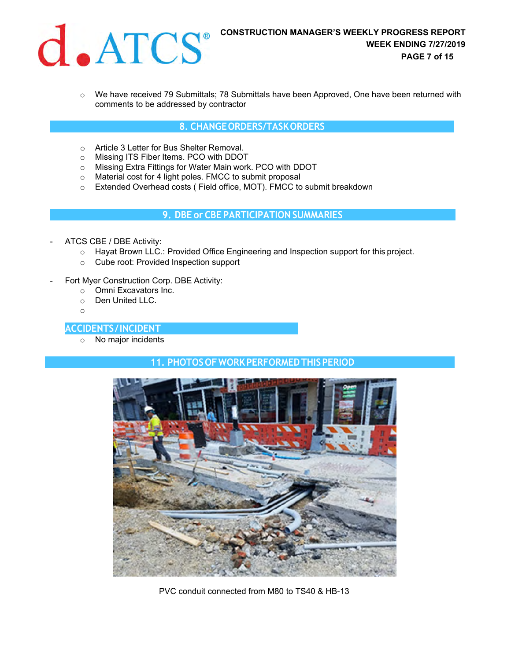

 $\circ$  We have received 79 Submittals; 78 Submittals have been Approved, One have been returned with comments to be addressed by contractor

#### **8. CHANGE ORDERS/TASK ORDERS**

- o Article 3 Letter for Bus Shelter Removal.
- o Missing ITS Fiber Items. PCO with DDOT
- o Missing Extra Fittings for Water Main work. PCO with DDOT
- o Material cost for 4 light poles. FMCC to submit proposal
- o Extended Overhead costs ( Field office, MOT). FMCC to submit breakdown

**9. DBE or CBE PARTICIPATION SUMMARIES**

- ATCS CBE / DBE Activity:
	- $\circ$  Hayat Brown LLC.: Provided Office Engineering and Inspection support for this project.
	- o Cube root: Provided Inspection support
- Fort Myer Construction Corp. DBE Activity:
	- o Omni Excavators Inc.
	- o Den United LLC.
	- o

#### **10. ACCIDENTS / INCIDENT**

o No major incidents

### **11. PHOTOS OF WORK PERFORMED THIS PERIOD**



PVC conduit connected from M80 to TS40 & HB-13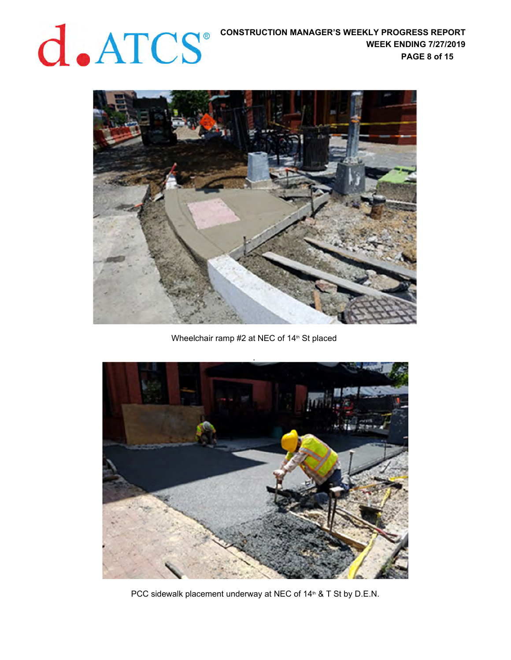## **CONSTRUCTION MANAGER'S WEEKLY PROGRESS REPORT WEEK ENDING 7/27/2019**

**WEEK ENDING 7/27/2019 PAGE 8 of 15** 



Wheelchair ramp #2 at NEC of 14<sup>th</sup> St placed



PCC sidewalk placement underway at NEC of 14<sup>th</sup> & T St by D.E.N.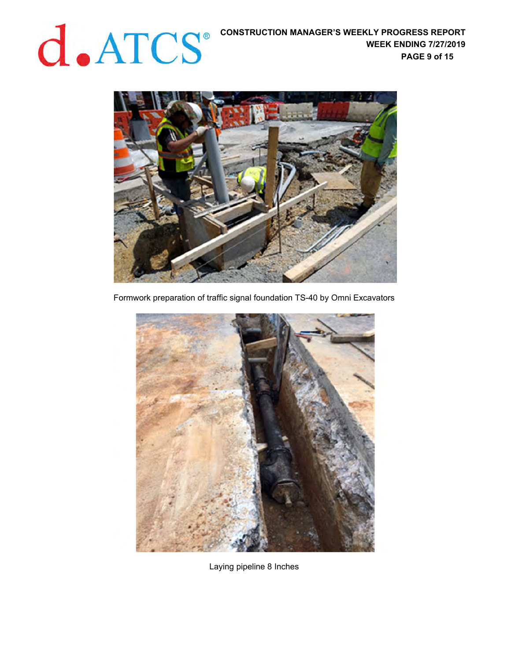

Formwork preparation of traffic signal foundation TS-40 by Omni Excavators



Laying pipeline 8 Inches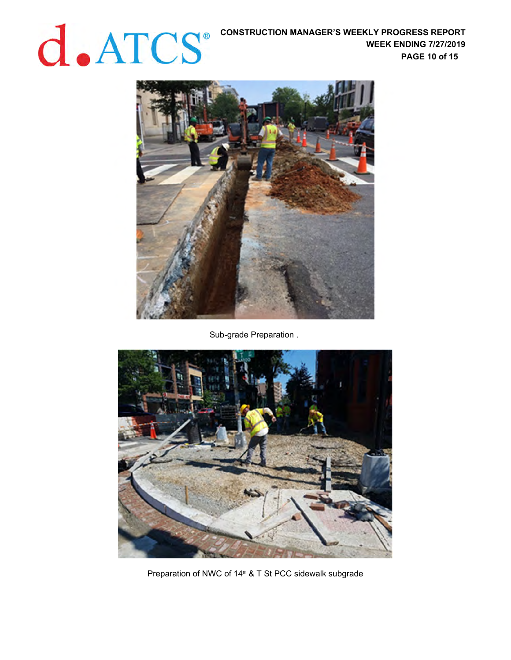# **CONSTRUCTION MANAGER'S WEEKLY PROGRESS REPORT WEEK ENDING 7/27/2019**

**WEEK ENDING 7/27/2019 PAGE 10 of 15** 



Sub-grade Preparation .



Preparation of NWC of 14<sup>th</sup> & T St PCC sidewalk subgrade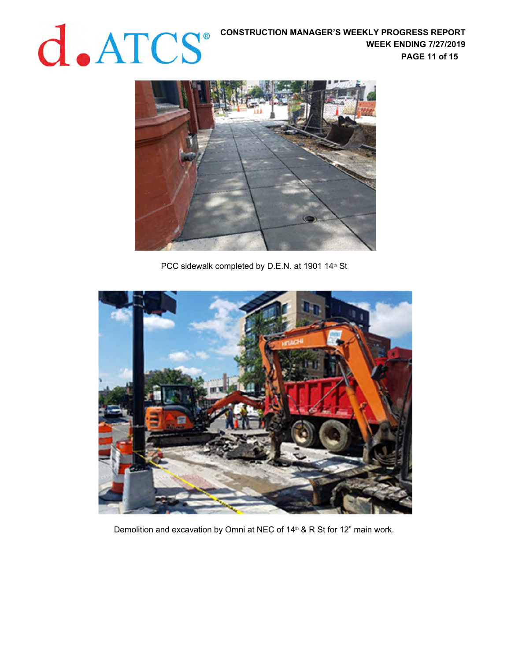

PCC sidewalk completed by D.E.N. at 1901 14<sup>th</sup> St



Demolition and excavation by Omni at NEC of 14<sup>th</sup> & R St for 12" main work.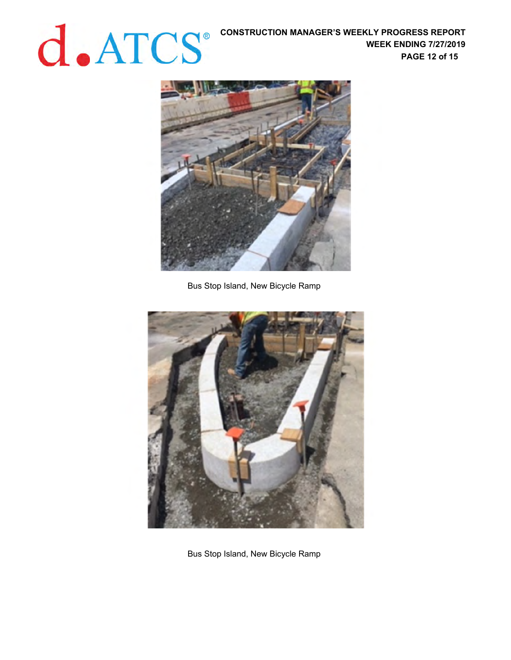**CONSTRUCTION MANAGER'S WEEKLY PROGRESS REPORT WEEK ENDING 7/27/2019**<br>PAGE 12 of 15 **WEEK ENDING 7/27/2019 PAGE 12 of 15** 



Bus Stop Island, New Bicycle Ramp



Bus Stop Island, New Bicycle Ramp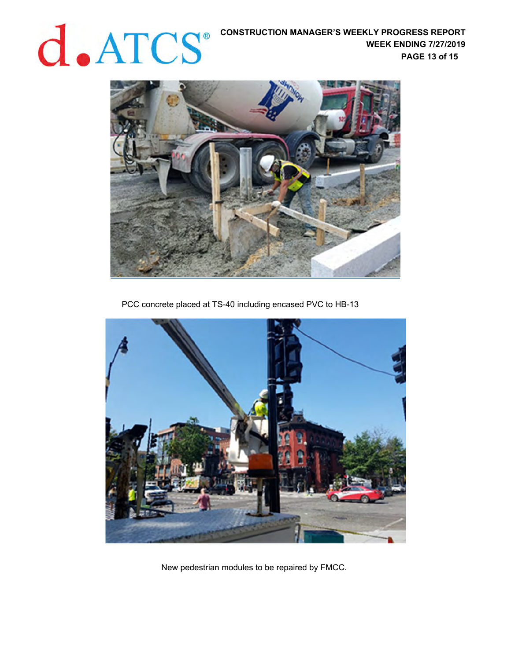

PCC concrete placed at TS-40 including encased PVC to HB-13



New pedestrian modules to be repaired by FMCC.